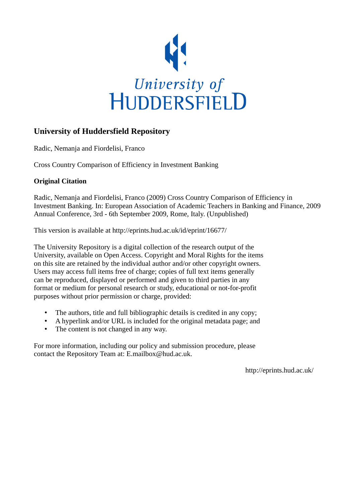

### **University of Huddersfield Repository**

Radic, Nemanja and Fiordelisi, Franco

Cross Country Comparison of Efficiency in Investment Banking

### **Original Citation**

Radic, Nemanja and Fiordelisi, Franco (2009) Cross Country Comparison of Efficiency in Investment Banking. In: European Association of Academic Teachers in Banking and Finance, 2009 Annual Conference, 3rd - 6th September 2009, Rome, Italy. (Unpublished)

This version is available at http://eprints.hud.ac.uk/id/eprint/16677/

The University Repository is a digital collection of the research output of the University, available on Open Access. Copyright and Moral Rights for the items on this site are retained by the individual author and/or other copyright owners. Users may access full items free of charge; copies of full text items generally can be reproduced, displayed or performed and given to third parties in any format or medium for personal research or study, educational or not-for-profit purposes without prior permission or charge, provided:

- The authors, title and full bibliographic details is credited in any copy;
- A hyperlink and/or URL is included for the original metadata page; and
- The content is not changed in any way.

For more information, including our policy and submission procedure, please contact the Repository Team at: E.mailbox@hud.ac.uk.

http://eprints.hud.ac.uk/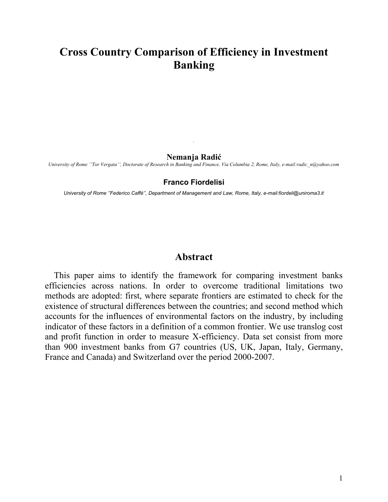# **Cross Country Comparison of Efficiency in Investment Banking**

#### **Nemanja Radić**

*.*

*University of Rome ''Tor Vergata'', Doctorate of Research in Banking and Finance, Via Columbia 2, Rome, Italy, e-mail:radic\_n@yahoo.com*

#### **Franco Fiordelisi**

*University of Rome ''Federico Caffè'', Department of Management and Law, Rome, Italy, e-mail:fiordeli@uniroma3.it*

### **Abstract**

This paper aims to identify the framework for comparing investment banks efficiencies across nations. In order to overcome traditional limitations two methods are adopted: first, where separate frontiers are estimated to check for the existence of structural differences between the countries; and second method which accounts for the influences of environmental factors on the industry, by including indicator of these factors in a definition of a common frontier. We use translog cost and profit function in order to measure X-efficiency. Data set consist from more than 900 investment banks from G7 countries (US, UK, Japan, Italy, Germany, France and Canada) and Switzerland over the period 2000-2007.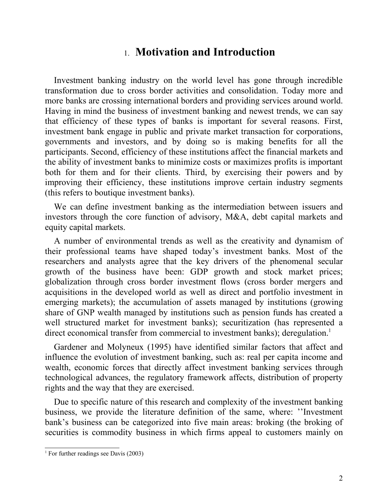## 1. **Motivation and Introduction**

Investment banking industry on the world level has gone through incredible transformation due to cross border activities and consolidation. Today more and more banks are crossing international borders and providing services around world. Having in mind the business of investment banking and newest trends, we can say that efficiency of these types of banks is important for several reasons. First, investment bank engage in public and private market transaction for corporations, governments and investors, and by doing so is making benefits for all the participants. Second, efficiency of these institutions affect the financial markets and the ability of investment banks to minimize costs or maximizes profits is important both for them and for their clients. Third, by exercising their powers and by improving their efficiency, these institutions improve certain industry segments (this refers to boutique investment banks).

We can define investment banking as the intermediation between issuers and investors through the core function of advisory, M&A, debt capital markets and equity capital markets.

A number of environmental trends as well as the creativity and dynamism of their professional teams have shaped today's investment banks. Most of the researchers and analysts agree that the key drivers of the phenomenal secular growth of the business have been: GDP growth and stock market prices; globalization through cross border investment flows (cross border mergers and acquisitions in the developed world as well as direct and portfolio investment in emerging markets); the accumulation of assets managed by institutions (growing share of GNP wealth managed by institutions such as pension funds has created a well structured market for investment banks); securitization (has represented a direct economical transfer from commercial to investment banks); deregulation.<sup>[1](#page-2-0)</sup>

Gardener and Molyneux (1995) have identified similar factors that affect and influence the evolution of investment banking, such as: real per capita income and wealth, economic forces that directly affect investment banking services through technological advances, the regulatory framework affects, distribution of property rights and the way that they are exercised.

Due to specific nature of this research and complexity of the investment banking business, we provide the literature definition of the same, where: ''Investment bank's business can be categorized into five main areas: broking (the broking of securities is commodity business in which firms appeal to customers mainly on

<span id="page-2-0"></span><sup>&</sup>lt;sup>1</sup> For further readings see Davis (2003)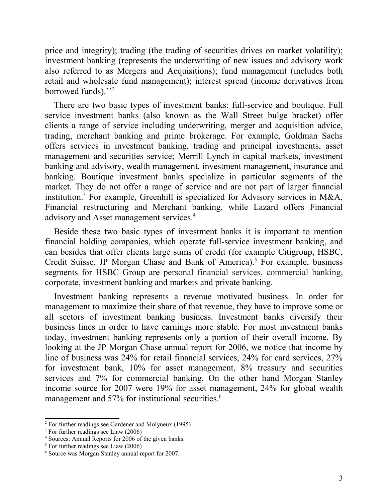price and integrity); trading (the trading of securities drives on market volatility); investment banking (represents the underwriting of new issues and advisory work also referred to as Mergers and Acquisitions); fund management (includes both retail and wholesale fund management); interest spread (income derivatives from borrowed funds)."<sup>[2](#page-3-0)</sup>

There are two basic types of investment banks: full-service and boutique. Full service investment banks (also known as the Wall Street bulge bracket) offer clients a range of service including underwriting, merger and acquisition advice, trading, merchant banking and prime brokerage. For example, Goldman Sachs offers services in investment banking, trading and principal investments, asset management and securities service; Merrill Lynch in capital markets, investment banking and advisory, wealth management, investment management, insurance and banking. Boutique investment banks specialize in particular segments of the market. They do not offer a range of service and are not part of larger financial institution.<sup>[3](#page-3-1)</sup> For example, Greenhill is specialized for Advisory services in M&A, Financial restructuring and Merchant banking, while Lazard offers Financial advisory and Asset management services.[4](#page-3-2)

Beside these two basic types of investment banks it is important to mention financial holding companies, which operate full-service investment banking, and can besides that offer clients large sums of credit (for example Citigroup, HSBC, Credit Suisse, JP Morgan Chase and Bank of America).<sup>[5](#page-3-3)</sup> For example, business segments for HSBC Group are personal financial services, commercial banking, corporate, investment banking and markets and private banking.

Investment banking represents a revenue motivated business. In order for management to maximize their share of that revenue, they have to improve some or all sectors of investment banking business. Investment banks diversify their business lines in order to have earnings more stable. For most investment banks today, investment banking represents only a portion of their overall income. By looking at the JP Morgan Chase annual report for 2006, we notice that income by line of business was 24% for retail financial services, 24% for card services, 27% for investment bank, 10% for asset management, 8% treasury and securities services and 7% for commercial banking. On the other hand Morgan Stanley income source for 2007 were 19% for asset management, 24% for global wealth management and 57% for institutional securities.<sup>[6](#page-3-4)</sup>

<span id="page-3-0"></span> $2$  For further readings see Gardener and Molyneux (1995)

<span id="page-3-1"></span><sup>&</sup>lt;sup>3</sup> For further readings see Liaw (2006)

<span id="page-3-2"></span><sup>4</sup> Sources: Annual Reports for 2006 of the given banks.

<span id="page-3-3"></span><sup>5</sup> For further readings see Liaw (2006)

<span id="page-3-4"></span><sup>6</sup> Source was Morgan Stanley annual report for 2007.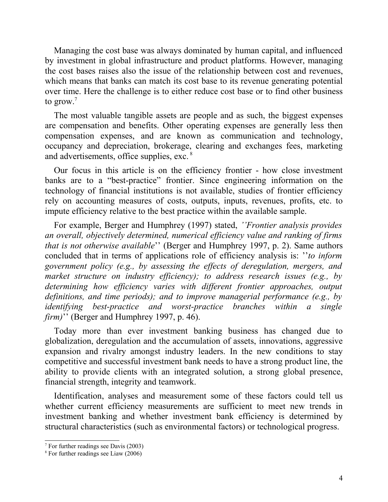Managing the cost base was always dominated by human capital, and influenced by investment in global infrastructure and product platforms. However, managing the cost bases raises also the issue of the relationship between cost and revenues, which means that banks can match its cost base to its revenue generating potential over time. Here the challenge is to either reduce cost base or to find other business to grow.[7](#page-4-0)

The most valuable tangible assets are people and as such, the biggest expenses are compensation and benefits. Other operating expenses are generally less then compensation expenses, and are known as communication and technology, occupancy and depreciation, brokerage, clearing and exchanges fees, marketing and advertisements, office supplies, exc. [8](#page-4-1)

Our focus in this article is on the efficiency frontier - how close investment banks are to a "best-practice" frontier. Since engineering information on the technology of financial institutions is not available, studies of frontier efficiency rely on accounting measures of costs, outputs, inputs, revenues, profits, etc. to impute efficiency relative to the best practice within the available sample.

For example, Berger and Humphrey (1997) stated, *''Frontier analysis provides an overall, objectively determined, numerical efficiency value and ranking of firms that is not otherwise available*'' (Berger and Humphrey 1997, p. 2). Same authors concluded that in terms of applications role of efficiency analysis is: ''*to inform government policy (e.g., by assessing the effects of deregulation, mergers, and market structure on industry efficiency); to address research issues (e.g., by determining how efficiency varies with different frontier approaches, output definitions, and time periods); and to improve managerial performance (e.g., by identifying best-practice and worst-practice branches within a single firm)*'' (Berger and Humphrey 1997, p. 46).

Today more than ever investment banking business has changed due to globalization, deregulation and the accumulation of assets, innovations, aggressive expansion and rivalry amongst industry leaders. In the new conditions to stay competitive and successful investment bank needs to have a strong product line, the ability to provide clients with an integrated solution, a strong global presence, financial strength, integrity and teamwork.

Identification, analyses and measurement some of these factors could tell us whether current efficiency measurements are sufficient to meet new trends in investment banking and whether investment bank efficiency is determined by structural characteristics (such as environmental factors) or technological progress.

<span id="page-4-0"></span><sup>7</sup> For further readings see Davis (2003)

<span id="page-4-1"></span><sup>8</sup> For further readings see Liaw (2006)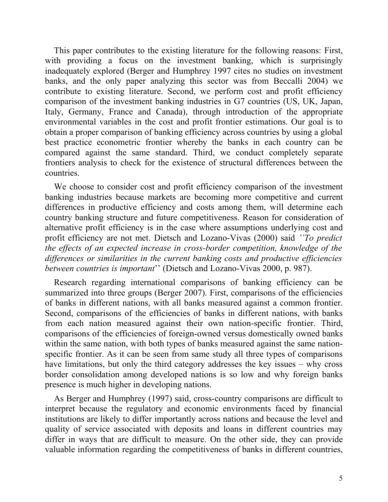This paper contributes to the existing literature for the following reasons: First, with providing a focus on the investment banking, which is surprisingly inadequately explored (Berger and Humphrey 1997 cites no studies on investment banks, and the only paper analyzing this sector was from Beccalli 2004) we contribute to existing literature. Second, we perform cost and profit efficiency comparison of the investment banking industries in G7 countries (US, UK, Japan, Italy, Germany, France and Canada), through introduction of the appropriate environmental variables in the cost and profit frontier estimations. Our goal is to obtain a proper comparison of banking efficiency across countries by using a global best practice econometric frontier whereby the banks in each country can be compared against the same standard. Third, we conduct completely separate frontiers analysis to check for the existence of structural differences between the countries.

We choose to consider cost and profit efficiency comparison of the investment banking industries because markets are becoming more competitive and current differences in productive efficiency and costs among them, will determine each country banking structure and future competitiveness. Reason for consideration of alternative profit efficiency is in the case where assumptions underlying cost and profit efficiency are not met. Dietsch and Lozano-Vivas (2000) said *''To predict the effects of an expected increase in cross-border competition, knowledge of the differences or similarities in the current banking costs and productive efficiencies between countries is important*'' (Dietsch and Lozano-Vivas 2000, p. 987).

Research regarding international comparisons of banking efficiency can be summarized into three groups (Berger 2007). First, comparisons of the efficiencies of banks in different nations, with all banks measured against a common frontier. Second, comparisons of the efficiencies of banks in different nations, with banks from each nation measured against their own nation-specific frontier. Third, comparisons of the efficiencies of foreign-owned versus domestically owned banks within the same nation, with both types of banks measured against the same nationspecific frontier. As it can be seen from same study all three types of comparisons have limitations, but only the third category addresses the key issues – why cross border consolidation among developed nations is so low and why foreign banks presence is much higher in developing nations.

As Berger and Humphrey (1997) said, cross-country comparisons are difficult to interpret because the regulatory and economic environments faced by financial institutions are likely to differ importantly across nations and because the level and quality of service associated with deposits and loans in different countries may differ in ways that are difficult to measure. On the other side, they can provide valuable information regarding the competitiveness of banks in different countries,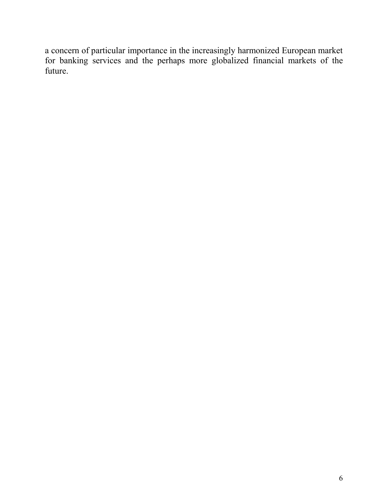a concern of particular importance in the increasingly harmonized European market for banking services and the perhaps more globalized financial markets of the future.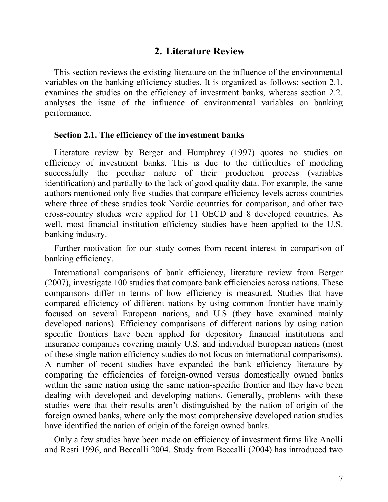### **2. Literature Review**

This section reviews the existing literature on the influence of the environmental variables on the banking efficiency studies. It is organized as follows: section 2.1. examines the studies on the efficiency of investment banks, whereas section 2.2. analyses the issue of the influence of environmental variables on banking performance.

#### **Section 2.1. The efficiency of the investment banks**

Literature review by Berger and Humphrey (1997) quotes no studies on efficiency of investment banks. This is due to the difficulties of modeling successfully the peculiar nature of their production process (variables identification) and partially to the lack of good quality data. For example, the same authors mentioned only five studies that compare efficiency levels across countries where three of these studies took Nordic countries for comparison, and other two cross-country studies were applied for 11 OECD and 8 developed countries. As well, most financial institution efficiency studies have been applied to the U.S. banking industry.

Further motivation for our study comes from recent interest in comparison of banking efficiency.

International comparisons of bank efficiency, literature review from Berger (2007), investigate 100 studies that compare bank efficiencies across nations. These comparisons differ in terms of how efficiency is measured. Studies that have compared efficiency of different nations by using common frontier have mainly focused on several European nations, and U.S (they have examined mainly developed nations). Efficiency comparisons of different nations by using nation specific frontiers have been applied for depository financial institutions and insurance companies covering mainly U.S. and individual European nations (most of these single-nation efficiency studies do not focus on international comparisons). A number of recent studies have expanded the bank efficiency literature by comparing the efficiencies of foreign-owned versus domestically owned banks within the same nation using the same nation-specific frontier and they have been dealing with developed and developing nations. Generally, problems with these studies were that their results aren't distinguished by the nation of origin of the foreign owned banks, where only the most comprehensive developed nation studies have identified the nation of origin of the foreign owned banks.

Only a few studies have been made on efficiency of investment firms like Anolli and Resti 1996, and Beccalli 2004. Study from Beccalli (2004) has introduced two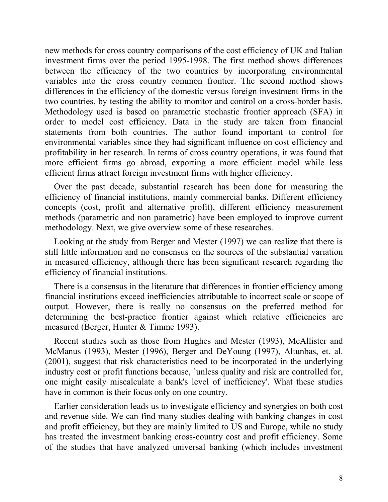new methods for cross country comparisons of the cost efficiency of UK and Italian investment firms over the period 1995-1998. The first method shows differences between the efficiency of the two countries by incorporating environmental variables into the cross country common frontier. The second method shows differences in the efficiency of the domestic versus foreign investment firms in the two countries, by testing the ability to monitor and control on a cross-border basis. Methodology used is based on parametric stochastic frontier approach (SFA) in order to model cost efficiency. Data in the study are taken from financial statements from both countries. The author found important to control for environmental variables since they had significant influence on cost efficiency and profitability in her research. In terms of cross country operations, it was found that more efficient firms go abroad, exporting a more efficient model while less efficient firms attract foreign investment firms with higher efficiency.

Over the past decade, substantial research has been done for measuring the efficiency of financial institutions, mainly commercial banks. Different efficiency concepts (cost, profit and alternative profit), different efficiency measurement methods (parametric and non parametric) have been employed to improve current methodology. Next, we give overview some of these researches.

Looking at the study from Berger and Mester (1997) we can realize that there is still little information and no consensus on the sources of the substantial variation in measured efficiency, although there has been significant research regarding the efficiency of financial institutions.

There is a consensus in the literature that differences in frontier efficiency among financial institutions exceed inefficiencies attributable to incorrect scale or scope of output. However, there is really no consensus on the preferred method for determining the best-practice frontier against which relative efficiencies are measured (Berger, Hunter & Timme 1993).

Recent studies such as those from Hughes and Mester (1993), McAllister and McManus (1993), Mester (1996), Berger and DeYoung (1997), Altunbas, et. al. (2001), suggest that risk characteristics need to be incorporated in the underlying industry cost or profit functions because, `unless quality and risk are controlled for, one might easily miscalculate a bank's level of inefficiency'. What these studies have in common is their focus only on one country.

Earlier consideration leads us to investigate efficiency and synergies on both cost and revenue side. We can find many studies dealing with banking changes in cost and profit efficiency, but they are mainly limited to US and Europe, while no study has treated the investment banking cross-country cost and profit efficiency. Some of the studies that have analyzed universal banking (which includes investment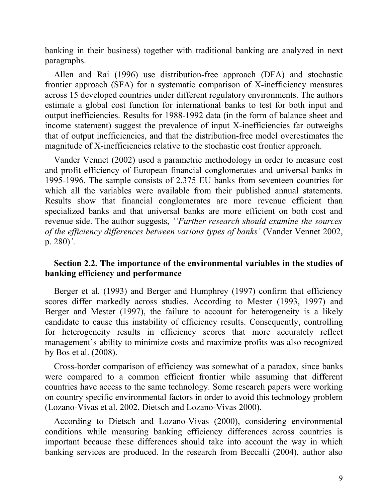banking in their business) together with traditional banking are analyzed in next paragraphs.

Allen and Rai (1996) use distribution-free approach (DFA) and stochastic frontier approach (SFA) for a systematic comparison of X-inefficiency measures across 15 developed countries under different regulatory environments. The authors estimate a global cost function for international banks to test for both input and output inefficiencies. Results for 1988-1992 data (in the form of balance sheet and income statement) suggest the prevalence of input X-inefficiencies far outweighs that of output inefficiencies, and that the distribution-free model overestimates the magnitude of X-inefficiencies relative to the stochastic cost frontier approach.

Vander Vennet (2002) used a parametric methodology in order to measure cost and profit efficiency of European financial conglomerates and universal banks in 1995-1996. The sample consists of 2.375 EU banks from seventeen countries for which all the variables were available from their published annual statements. Results show that financial conglomerates are more revenue efficient than specialized banks and that universal banks are more efficient on both cost and revenue side. The author suggests, *''Further research should examine the sources of the efficiency differences between various types of banks'* (Vander Vennet 2002, p. 280)*'*.

### **Section 2.2. The importance of the environmental variables in the studies of banking efficiency and performance**

Berger et al. (1993) and Berger and Humphrey (1997) confirm that efficiency scores differ markedly across studies. According to Mester (1993, 1997) and Berger and Mester (1997), the failure to account for heterogeneity is a likely candidate to cause this instability of efficiency results. Consequently, controlling for heterogeneity results in efficiency scores that more accurately reflect management's ability to minimize costs and maximize profits was also recognized by Bos et al. (2008).

Cross-border comparison of efficiency was somewhat of a paradox, since banks were compared to a common efficient frontier while assuming that different countries have access to the same technology. Some research papers were working on country specific environmental factors in order to avoid this technology problem (Lozano-Vivas et al. 2002, Dietsch and Lozano-Vivas 2000).

According to Dietsch and Lozano-Vivas (2000), considering environmental conditions while measuring banking efficiency differences across countries is important because these differences should take into account the way in which banking services are produced. In the research from Beccalli (2004), author also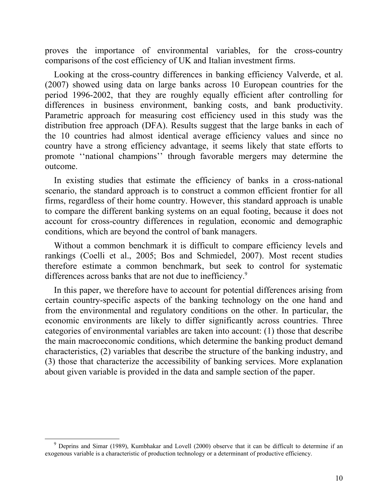proves the importance of environmental variables, for the cross-country comparisons of the cost efficiency of UK and Italian investment firms.

Looking at the cross-country differences in banking efficiency Valverde, et al. (2007) showed using data on large banks across 10 European countries for the period 1996-2002, that they are roughly equally efficient after controlling for differences in business environment, banking costs, and bank productivity. Parametric approach for measuring cost efficiency used in this study was the distribution free approach (DFA). Results suggest that the large banks in each of the 10 countries had almost identical average efficiency values and since no country have a strong efficiency advantage, it seems likely that state efforts to promote ''national champions'' through favorable mergers may determine the outcome.

In existing studies that estimate the efficiency of banks in a cross-national scenario, the standard approach is to construct a common efficient frontier for all firms, regardless of their home country. However, this standard approach is unable to compare the different banking systems on an equal footing, because it does not account for cross-country differences in regulation, economic and demographic conditions, which are beyond the control of bank managers.

Without a common benchmark it is difficult to compare efficiency levels and rankings (Coelli et al., 2005; Bos and Schmiedel, 2007). Most recent studies therefore estimate a common benchmark, but seek to control for systematic differences across banks that are not due to inefficiency.<sup>[9](#page-10-0)</sup>

In this paper, we therefore have to account for potential differences arising from certain country-specific aspects of the banking technology on the one hand and from the environmental and regulatory conditions on the other. In particular, the economic environments are likely to differ significantly across countries. Three categories of environmental variables are taken into account: (1) those that describe the main macroeconomic conditions, which determine the banking product demand characteristics, (2) variables that describe the structure of the banking industry, and (3) those that characterize the accessibility of banking services. More explanation about given variable is provided in the data and sample section of the paper.

<span id="page-10-0"></span><sup>&</sup>lt;sup>9</sup> Deprins and Simar (1989), Kumbhakar and Lovell (2000) observe that it can be difficult to determine if an exogenous variable is a characteristic of production technology or a determinant of productive efficiency.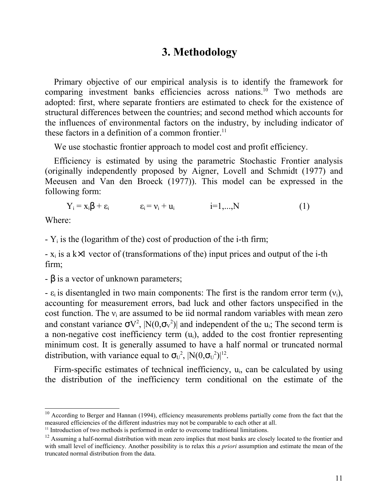### **3. Methodology**

Primary objective of our empirical analysis is to identify the framework for comparing investment banks efficiencies across nations.<sup>[10](#page-11-0)</sup> Two methods are adopted: first, where separate frontiers are estimated to check for the existence of structural differences between the countries; and second method which accounts for the influences of environmental factors on the industry, by including indicator of these factors in a definition of a common frontier.<sup>[11](#page-11-1)</sup>

We use stochastic frontier approach to model cost and profit efficiency.

Efficiency is estimated by using the parametric Stochastic Frontier analysis (originally independently proposed by Aigner, Lovell and Schmidt (1977) and Meeusen and Van den Broeck (1977)). This model can be expressed in the following form:

 $Y_i = x_i\beta + \varepsilon_i$   $\varepsilon_i = v_i + u_i$   $i=1,...,N$  (1)

Where:

 $-Y_i$  is the (logarithm of the) cost of production of the i-th firm;

 $- x_i$  is a k×1 vector of (transformations of the) input prices and output of the i-th firm;

 $-\beta$  is a vector of unknown parameters;

-  $\varepsilon_i$  is disentangled in two main components: The first is the random error term  $(v_i)$ , accounting for measurement errors, bad luck and other factors unspecified in the cost function. The  $v_i$  are assumed to be iid normal random variables with mean zero and constant variance  $\sigma V^2$ ,  $N(0,\sigma_V^2)$  and independent of the u<sub>i</sub>; The second term is a non-negative cost inefficiency term  $(u_i)$ , added to the cost frontier representing minimum cost. It is generally assumed to have a half normal or truncated normal distribution, with variance equal to  $\sigma_U^2$ ,  $|N(0,\sigma_U^2)|^{12}$  $|N(0,\sigma_U^2)|^{12}$  $|N(0,\sigma_U^2)|^{12}$ .

Firm-specific estimates of technical inefficiency, u<sub>i</sub>, can be calculated by using the distribution of the inefficiency term conditional on the estimate of the

<span id="page-11-0"></span> $10$  According to Berger and Hannan (1994), efficiency measurements problems partially come from the fact that the measured efficiencies of the different industries may not be comparable to each other at all.

<span id="page-11-1"></span><sup>&</sup>lt;sup>11</sup> Introduction of two methods is performed in order to overcome traditional limitations.

<span id="page-11-2"></span> $12$  Assuming a half-normal distribution with mean zero implies that most banks are closely located to the frontier and with small level of inefficiency. Another possibility is to relax this *a priori* assumption and estimate the mean of the truncated normal distribution from the data.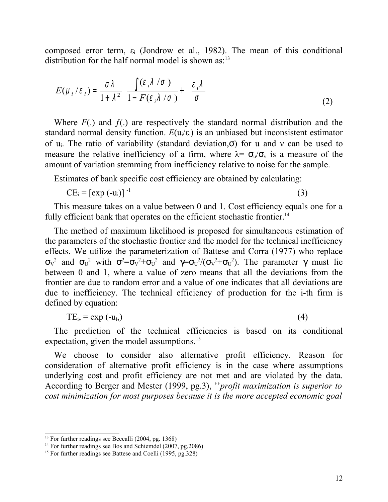composed error term,  $\varepsilon_i$  (Jondrow et al., 1982). The mean of this conditional distribution for the half normal model is shown  $as^{-13}$  $as^{-13}$  $as^{-13}$ 

$$
E(\mu_i/\varepsilon_i) = \frac{\sigma \lambda}{1 + \lambda^2} \left[ \frac{\int (\varepsilon_i \lambda / \sigma)}{1 - F(\varepsilon_i \lambda / \sigma)} + \left( \frac{\varepsilon_i \lambda}{\sigma} \right) \right]
$$
(2)

Where  $F(.)$  and  $f(.)$  are respectively the standard normal distribution and the standard normal density function.  $E(u_i/\varepsilon_i)$  is an unbiased but inconsistent estimator of u<sub>i</sub>. The ratio of variability (standard deviation, $\sigma$ ) for u and v can be used to measure the relative inefficiency of a firm, where  $\lambda = \sigma_{\nu}/\sigma_{\nu}$  is a measure of the amount of variation stemming from inefficiency relative to noise for the sample.

Estimates of bank specific cost efficiency are obtained by calculating:

$$
CE_i = [exp(-u_i)]^{-1}
$$
 (3)

This measure takes on a value between 0 and 1. Cost efficiency equals one for a fully efficient bank that operates on the efficient stochastic frontier.<sup>[14](#page-12-1)</sup>

The method of maximum likelihood is proposed for simultaneous estimation of the parameters of the stochastic frontier and the model for the technical inefficiency effects. We utilize the parameterization of Battese and Corra (1977) who replace σ<sub>ν</sub><sup>2</sup> and σ<sub>U</sub><sup>2</sup> with σ<sup>2</sup>=σ<sub>V</sub><sup>2</sup>+σ<sub>U</sub><sup>2</sup> and γ=σ<sub>U</sub><sup>2</sup>/(σ<sub>V</sub><sup>2</sup>+σ<sub>U</sub><sup>2</sup>). The parameter γ must lie between 0 and 1, where a value of zero means that all the deviations from the frontier are due to random error and a value of one indicates that all deviations are due to inefficiency. The technical efficiency of production for the i-th firm is defined by equation:

$$
TE_{i} = \exp(-u_{i})
$$
 (4)

The prediction of the technical efficiencies is based on its conditional expectation, given the model assumptions.<sup>[15](#page-12-2)</sup>

We choose to consider also alternative profit efficiency. Reason for consideration of alternative profit efficiency is in the case where assumptions underlying cost and profit efficiency are not met and are violated by the data. According to Berger and Mester (1999, pg.3), ''*profit maximization is superior to cost minimization for most purposes because it is the more accepted economic goal*

<span id="page-12-0"></span><sup>&</sup>lt;sup>13</sup> For further readings see Beccalli (2004, pg. 1368)

<span id="page-12-1"></span><sup>&</sup>lt;sup>14</sup> For further readings see Bos and Schiemdel (2007, pg.2086)

<span id="page-12-2"></span><sup>&</sup>lt;sup>15</sup> For further readings see Battese and Coelli (1995, pg. 328)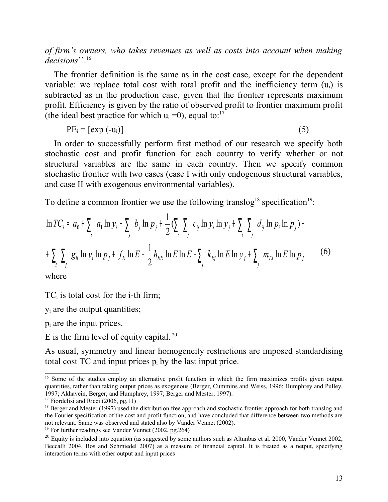*of firm's owners, who takes revenues as well as costs into account when making* decisions<sup>", [16](#page-13-0)</sup>

The frontier definition is the same as in the cost case, except for the dependent variable: we replace total cost with total profit and the inefficiency term  $(u_i)$  is subtracted as in the production case, given that the frontier represents maximum profit. Efficiency is given by the ratio of observed profit to frontier maximum profit (the ideal best practice for which  $u_i = 0$ ), equal to:<sup>[17](#page-13-1)</sup>

 $PE_i = [exp(-u_i)]$  (5)

In order to successfully perform first method of our research we specify both stochastic cost and profit function for each country to verify whether or not structural variables are the same in each country. Then we specify common stochastic frontier with two cases (case I with only endogenous structural variables, and case II with exogenous environmental variables).

To define a common frontier we use the following translog<sup>[18](#page-13-2)</sup> specification<sup>[19](#page-13-3)</sup>:

$$
\ln TC_i = a_0 + \sum_i a_i \ln y_i + \sum_j b_j \ln p_j + \frac{1}{2} (\sum_i \sum_j c_{ij} \ln y_i \ln y_j + \sum_i \sum_j d_{ij} \ln p_i \ln p_j) +
$$
  
+ 
$$
\sum_i \sum_j g_{ij} \ln y_i \ln p_j + f_E \ln E + \frac{1}{2} h_{EE} \ln E \ln E + \sum_j k_{Ej} \ln E \ln y_j + \sum_j m_{Ej} \ln E \ln p_j
$$
 (6)

where

 $TC_i$  is total cost for the i-th firm;

yi are the output quantities;

 $p_i$  are the input prices.

E is the firm level of equity capital.  $20$ 

As usual, symmetry and linear homogeneity restrictions are imposed standardising total cost  $TC$  and input prices  $p_i$  by the last input price.

<span id="page-13-0"></span><sup>&</sup>lt;sup>16</sup> Some of the studies employ an alternative profit function in which the firm maximizes profits given output quantities, rather than taking output prices as exogenous (Berger, Cummins and Weiss, 1996; Humphrey and Pulley, 1997; Akhavein, Berger, and Humphrey, 1997; Berger and Mester, 1997).

<span id="page-13-1"></span><sup>&</sup>lt;sup>17</sup> Fiordelisi and Ricci (2006, pg.11)

<span id="page-13-2"></span><sup>&</sup>lt;sup>18</sup> Berger and Mester (1997) used the distribution free approach and stochastic frontier approach for both translog and the Fourier specification of the cost and profit function, and have concluded that difference between two methods are not relevant. Same was observed and stated also by Vander Vennet (2002).

<span id="page-13-3"></span><sup>&</sup>lt;sup>19</sup> For further readings see Vander Vennet (2002, pg. 264)

<span id="page-13-4"></span> $20$  Equity is included into equation (as suggested by some authors such as Altunbas et al. 2000, Vander Vennet 2002, Beccalli 2004, Bos and Schmiedel 2007) as a measure of financial capital. It is treated as a netput, specifying interaction terms with other output and input prices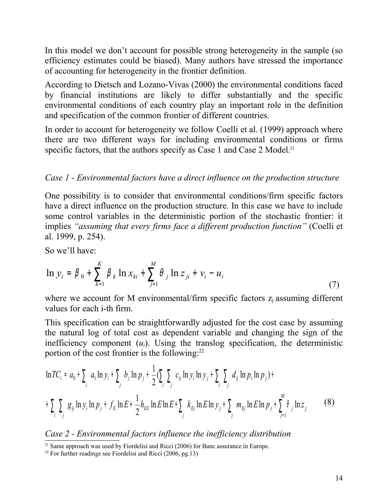In this model we don't account for possible strong heterogeneity in the sample (so efficiency estimates could be biased). Many authors have stressed the importance of accounting for heterogeneity in the frontier definition.

According to Dietsch and Lozano-Vivas (2000) the environmental conditions faced by financial institutions are likely to differ substantially and the specific environmental conditions of each country play an important role in the definition and specification of the common frontier of different countries.

In order to account for heterogeneity we follow Coelli et al. (1999) approach where there are two different ways for including environmental conditions or firms specific factors, that the authors specify as Case 1 and Case 2 Model.<sup>[21](#page-14-0)</sup>

### *Case 1 - Environmental factors have a direct influence on the production structure*

One possibility is to consider that environmental conditions/firm specific factors have a direct influence on the production structure. In this case we have to include some control variables in the deterministic portion of the stochastic frontier: it implies *"assuming that every firms face a different production function"* (Coelli et al. 1999, p. 254).

So we'll have:

$$
\ln y_{i} = \beta_{0} + \sum_{k=1}^{K} \beta_{k} \ln x_{ki} + \sum_{j=1}^{M} \theta_{j} \ln z_{ji} + v_{i} - u_{i}
$$
\n(7)

where we account for M environmental/firm specific factors  $z_i$  assuming different values for each i-th firm.

This specification can be straightforwardly adjusted for the cost case by assuming the natural log of total cost as dependent variable and changing the sign of the inefficiency component  $(u_i)$ . Using the translog specification, the deterministic portion of the cost frontier is the following: $^{22}$  $^{22}$  $^{22}$ 

$$
\ln TC_i = a_0 + \sum_i a_1 \ln y_i + \sum_j b_j \ln p_j + \frac{1}{2} (\sum_i \sum_j c_{ij} \ln y_i \ln y_j + \sum_i \sum_j d_{ij} \ln p_i \ln p_j) +
$$
  
+ 
$$
\sum_i \sum_j g_{ij} \ln y_i \ln p_j + f_E \ln E + \frac{1}{2} h_{EE} \ln E \ln E + \sum_j k_{Ej} \ln E \ln y_j + \sum_j m_{Ej} \ln E \ln p_j + \sum_{j=1}^M \theta_j \ln z_j
$$
 (8)

### *Case 2 - Environmental factors influence the inefficiency distribution*

<span id="page-14-0"></span><sup>&</sup>lt;sup>21</sup> Same approach was used by Fiordelisi and Ricci (2006) for Banc assurance in Europe.

<span id="page-14-1"></span><sup>&</sup>lt;sup>22</sup> For further readings see Fiordelisi and Ricci (2006, pg. 13)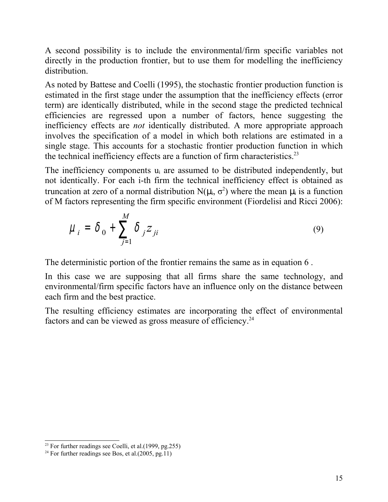A second possibility is to include the environmental/firm specific variables not directly in the production frontier, but to use them for modelling the inefficiency distribution.

As noted by Battese and Coelli (1995), the stochastic frontier production function is estimated in the first stage under the assumption that the inefficiency effects (error term) are identically distributed, while in the second stage the predicted technical efficiencies are regressed upon a number of factors, hence suggesting the inefficiency effects are *not* identically distributed. A more appropriate approach involves the specification of a model in which both relations are estimated in a single stage. This accounts for a stochastic frontier production function in which the technical inefficiency effects are a function of firm characteristics.<sup>[23](#page-15-0)</sup>

The inefficiency components  $u_i$  are assumed to be distributed independently, but not identically. For each i-th firm the technical inefficiency effect is obtained as truncation at zero of a normal distribution  $N(\mu_i, \sigma^2)$  where the mean  $\mu_i$  is a function of M factors representing the firm specific environment (Fiordelisi and Ricci 2006):

$$
\mu_i = \delta_0 + \sum_{j=1}^M \delta_j Z_{ji} \tag{9}
$$

The deterministic portion of the frontier remains the same as in equation 6 .

In this case we are supposing that all firms share the same technology, and environmental/firm specific factors have an influence only on the distance between each firm and the best practice.

The resulting efficiency estimates are incorporating the effect of environmental factors and can be viewed as gross measure of efficiency.<sup>[24](#page-15-1)</sup>

<span id="page-15-0"></span> $23$  For further readings see Coelli, et al.(1999, pg.255)

<span id="page-15-1"></span><sup>&</sup>lt;sup>24</sup> For further readings see Bos, et al. $(2005, \text{pg.}11)$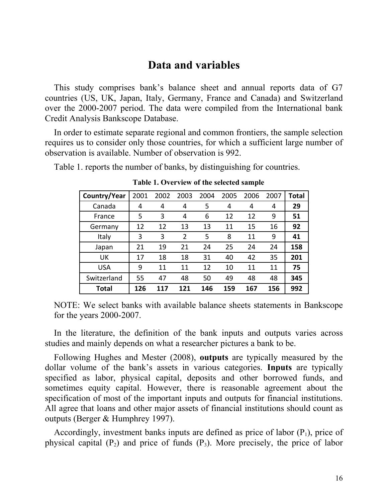### **Data and variables**

This study comprises bank's balance sheet and annual reports data of G7 countries (US, UK, Japan, Italy, Germany, France and Canada) and Switzerland over the 2000-2007 period. The data were compiled from the International bank Credit Analysis Bankscope Database.

In order to estimate separate regional and common frontiers, the sample selection requires us to consider only those countries, for which a sufficient large number of observation is available. Number of observation is 992.

Table 1. reports the number of banks, by distinguishing for countries.

| Country/Year | 2001 | 2002 | 2003           | 2004 | 2005 | 2006 | 2007 | <b>Total</b> |
|--------------|------|------|----------------|------|------|------|------|--------------|
| Canada       | 4    | 4    | 4              | 5    | 4    | 4    | 4    | 29           |
| France       | 5    | 3    | 4              | 6    | 12   | 12   | 9    | 51           |
| Germany      | 12   | 12   | 13             | 13   | 11   | 15   | 16   | 92           |
| Italy        | 3    | 3    | $\overline{2}$ | 5    | 8    | 11   | 9    | 41           |
| Japan        | 21   | 19   | 21             | 24   | 25   | 24   | 24   | 158          |
| UK           | 17   | 18   | 18             | 31   | 40   | 42   | 35   | 201          |
| <b>USA</b>   | 9    | 11   | 11             | 12   | 10   | 11   | 11   | 75           |
| Switzerland  | 55   | 47   | 48             | 50   | 49   | 48   | 48   | 345          |
| Total        | 126  | 117  | 121            | 146  | 159  | 167  | 156  | 992          |

**Table 1. Overview of the selected sample**

NOTE: We select banks with available balance sheets statements in Bankscope for the years 2000-2007.

In the literature, the definition of the bank inputs and outputs varies across studies and mainly depends on what a researcher pictures a bank to be.

Following Hughes and Mester (2008), **outputs** are typically measured by the dollar volume of the bank's assets in various categories. **Inputs** are typically specified as labor, physical capital, deposits and other borrowed funds, and sometimes equity capital. However, there is reasonable agreement about the specification of most of the important inputs and outputs for financial institutions. All agree that loans and other major assets of financial institutions should count as outputs (Berger & Humphrey 1997).

Accordingly, investment banks inputs are defined as price of labor  $(P_1)$ , price of physical capital  $(P_2)$  and price of funds  $(P_3)$ . More precisely, the price of labor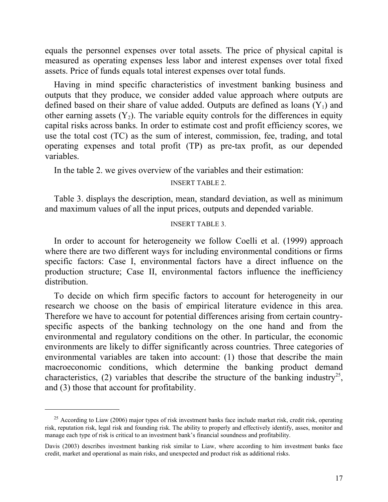equals the personnel expenses over total assets. The price of physical capital is measured as operating expenses less labor and interest expenses over total fixed assets. Price of funds equals total interest expenses over total funds.

Having in mind specific characteristics of investment banking business and outputs that they produce, we consider added value approach where outputs are defined based on their share of value added. Outputs are defined as loans  $(Y_1)$  and other earning assets  $(Y_2)$ . The variable equity controls for the differences in equity capital risks across banks. In order to estimate cost and profit efficiency scores, we use the total cost (TC) as the sum of interest, commission, fee, trading, and total operating expenses and total profit (TP) as pre-tax profit, as our depended variables.

In the table 2. we gives overview of the variables and their estimation:

#### INSERT TABLE 2.

Table 3. displays the description, mean, standard deviation, as well as minimum and maximum values of all the input prices, outputs and depended variable.

### INSERT TABLE 3.

In order to account for heterogeneity we follow Coelli et al. (1999) approach where there are two different ways for including environmental conditions or firms specific factors: Case I, environmental factors have a direct influence on the production structure; Case II, environmental factors influence the inefficiency distribution.

To decide on which firm specific factors to account for heterogeneity in our research we choose on the basis of empirical literature evidence in this area. Therefore we have to account for potential differences arising from certain countryspecific aspects of the banking technology on the one hand and from the environmental and regulatory conditions on the other. In particular, the economic environments are likely to differ significantly across countries. Three categories of environmental variables are taken into account: (1) those that describe the main macroeconomic conditions, which determine the banking product demand characteristics, (2) variables that describe the structure of the banking industry<sup>[25](#page-17-0)</sup>, and (3) those that account for profitability.

<span id="page-17-0"></span> $^{25}$  According to Liaw (2006) major types of risk investment banks face include market risk, credit risk, operating risk, reputation risk, legal risk and founding risk. The ability to properly and effectively identify, asses, monitor and manage each type of risk is critical to an investment bank's financial soundness and profitability.

Davis (2003) describes investment banking risk similar to Liaw, where according to him investment banks face credit, market and operational as main risks, and unexpected and product risk as additional risks.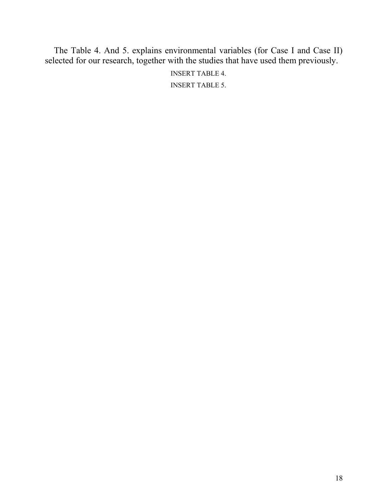The Table 4. And 5. explains environmental variables (for Case I and Case II) selected for our research, together with the studies that have used them previously.

> INSERT TABLE 4. INSERT TABLE 5.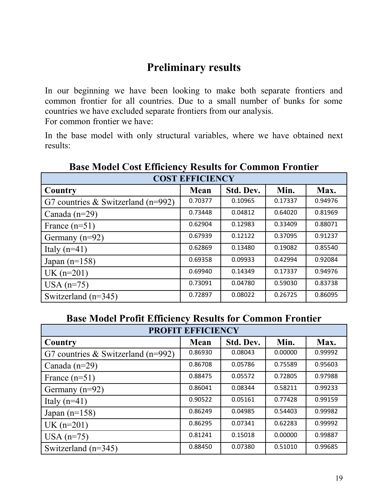# **Preliminary results**

In our beginning we have been looking to make both separate frontiers and common frontier for all countries. Due to a small number of bunks for some countries we have excluded separate frontiers from our analysis. For common frontier we have:

In the base model with only structural variables, where we have obtained next results:

| <b>COST EFFICIENCY</b>               |         |           |         |         |  |
|--------------------------------------|---------|-----------|---------|---------|--|
| Country                              | Mean    | Std. Dev. | Min.    | Max.    |  |
| G7 countries $&$ Switzerland (n=992) | 0.70377 | 0.10965   | 0.17337 | 0.94976 |  |
| Canada $(n=29)$                      | 0.73448 | 0.04812   | 0.64020 | 0.81969 |  |
| France $(n=51)$                      | 0.62904 | 0.12983   | 0.33409 | 0.88071 |  |
| Germany $(n=92)$                     | 0.67939 | 0.12122   | 0.37095 | 0.91237 |  |
| Italy $(n=41)$                       | 0.62869 | 0.13480   | 0.19082 | 0.85540 |  |
| Japan $(n=158)$                      | 0.69358 | 0.09933   | 0.42994 | 0.92084 |  |
| $UK(n=201)$                          | 0.69940 | 0.14349   | 0.17337 | 0.94976 |  |
| USA $(n=75)$                         | 0.73091 | 0.04780   | 0.59030 | 0.83738 |  |
| Switzerland $(n=345)$                | 0.72897 | 0.08022   | 0.26725 | 0.86095 |  |

**Base Model Cost Efficiency Results for Common Frontier**

## **Base Model Profit Efficiency Results for Common Frontier**

| <b>PROFIT EFFICIENCY</b>             |         |           |         |         |  |  |
|--------------------------------------|---------|-----------|---------|---------|--|--|
| Country                              | Mean    | Std. Dev. | Min.    | Max.    |  |  |
| G7 countries $&$ Switzerland (n=992) | 0.86930 | 0.08043   | 0.00000 | 0.99992 |  |  |
| Canada $(n=29)$                      | 0.86708 | 0.05786   | 0.75589 | 0.95603 |  |  |
| France $(n=51)$                      | 0.88475 | 0.05572   | 0.72805 | 0.97988 |  |  |
| Germany $(n=92)$                     | 0.86041 | 0.08344   | 0.58211 | 0.99233 |  |  |
| Italy $(n=41)$                       | 0.90522 | 0.05161   | 0.77428 | 0.99159 |  |  |
| Japan $(n=158)$                      | 0.86249 | 0.04985   | 0.54403 | 0.99982 |  |  |
| $UK(n=201)$                          | 0.86295 | 0.07341   | 0.62283 | 0.99992 |  |  |
| USA $(n=75)$                         | 0.81241 | 0.15018   | 0.00000 | 0.99887 |  |  |
| Switzerland $(n=345)$                | 0.88450 | 0.07380   | 0.51010 | 0.99685 |  |  |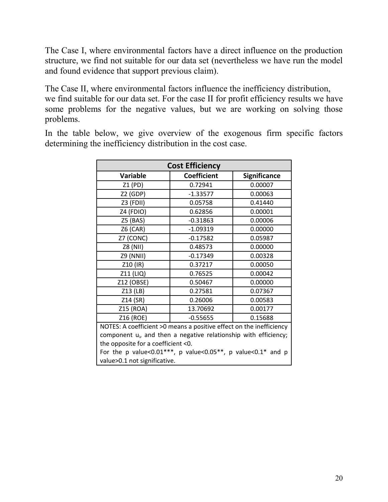The Case I, where environmental factors have a direct influence on the production structure, we find not suitable for our data set (nevertheless we have run the model and found evidence that support previous claim).

The Case II, where environmental factors influence the inefficiency distribution, we find suitable for our data set. For the case II for profit efficiency results we have some problems for the negative values, but we are working on solving those problems.

In the table below, we give overview of the exogenous firm specific factors determining the inefficiency distribution in the cost case.

| <b>Cost Efficiency</b>                                                       |                    |                     |  |  |  |
|------------------------------------------------------------------------------|--------------------|---------------------|--|--|--|
| <b>Variable</b>                                                              | <b>Coefficient</b> | <b>Significance</b> |  |  |  |
| Z1 (PD)                                                                      | 0.72941            | 0.00007             |  |  |  |
| $Z2$ (GDP)                                                                   | $-1.33577$         | 0.00063             |  |  |  |
| Z3 (FDII)                                                                    | 0.05758            | 0.41440             |  |  |  |
| Z4 (FDIO)                                                                    | 0.62856            | 0.00001             |  |  |  |
| Z5 (BAS)                                                                     | $-0.31863$         | 0.00006             |  |  |  |
| $Z6$ (CAR)                                                                   | $-1.09319$         | 0.00000             |  |  |  |
| Z7 (CONC)                                                                    | $-0.17582$         | 0.05987             |  |  |  |
| Z8 (NII)                                                                     | 0.48573            | 0.00000             |  |  |  |
| <b>Z9 (NNII)</b>                                                             | $-0.17349$         | 0.00328             |  |  |  |
| Z10 (IR)                                                                     | 0.37217            | 0.00050             |  |  |  |
| Z11 (LIQ)                                                                    | 0.76525            | 0.00042             |  |  |  |
| Z12 (OBSE)                                                                   | 0.50467            | 0.00000             |  |  |  |
| Z13 (LB)                                                                     | 0.27581            | 0.07367             |  |  |  |
| Z14 (SR)                                                                     | 0.26006            | 0.00583             |  |  |  |
| Z15 (ROA)                                                                    | 13.70692           | 0.00177             |  |  |  |
| Z16 (ROE)                                                                    | $-0.55655$         | 0.15688             |  |  |  |
| NOTES: A coefficient >0 means a positive effect on the inefficiency          |                    |                     |  |  |  |
| component u <sub>i</sub> , and then a negative relationship with efficiency; |                    |                     |  |  |  |
| the opposite for a coefficient <0.                                           |                    |                     |  |  |  |
| For the p value<0.01***, p value<0.05**, p value<0.1* and p                  |                    |                     |  |  |  |
| value>0.1 not significative.                                                 |                    |                     |  |  |  |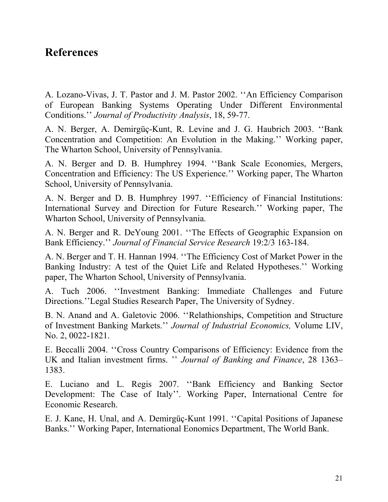# **References**

A. Lozano-Vivas, J. T. Pastor and J. M. Pastor 2002. ''An Efficiency Comparison of European Banking Systems Operating Under Different Environmental Conditions.'' *Journal of Productivity Analysis*, 18, 59-77.

A. N. Berger, A. Demirgüç-Kunt, R. Levine and J. G. Haubrich 2003. ''Bank Concentration and Competition: An Evolution in the Making.'' Working paper, The Wharton School, University of Pennsylvania.

A. N. Berger and D. B. Humphrey 1994. ''Bank Scale Economies, Mergers, Concentration and Efficiency: The US Experience.'' Working paper, The Wharton School, University of Pennsylvania.

A. N. Berger and D. B. Humphrey 1997. ''Efficiency of Financial Institutions: International Survey and Direction for Future Research.'' Working paper, The Wharton School, University of Pennsylvania.

A. N. Berger and R. DeYoung 2001. ''The Effects of Geographic Expansion on Bank Efficiency.'' *Journal of Financial Service Research* 19:2/3 163-184.

A. N. Berger and T. H. Hannan 1994. ''The Efficiency Cost of Market Power in the Banking Industry: A test of the Quiet Life and Related Hypotheses.'' Working paper, The Wharton School, University of Pennsylvania.

A. Tuch 2006. ''Investment Banking: Immediate Challenges and Future Directions.''Legal Studies Research Paper, The University of Sydney.

B. N. Anand and A. Galetovic 2006. ''Relathionships, Competition and Structure of Investment Banking Markets.'' *Journal of Industrial Economics,* Volume LIV, No. 2, 0022-1821.

E. Beccalli 2004. ''Cross Country Comparisons of Efficiency: Evidence from the UK and Italian investment firms. '' *Journal of Banking and Finance*, 28 1363– 1383.

E. Luciano and L. Regis 2007. ''Bank Efficiency and Banking Sector Development: The Case of Italy''. Working Paper, International Centre for Economic Research.

E. J. Kane, H. Unal, and A. Demirgüç-Kunt 1991. ''Capital Positions of Japanese Banks.'' Working Paper, International Eonomics Department, The World Bank.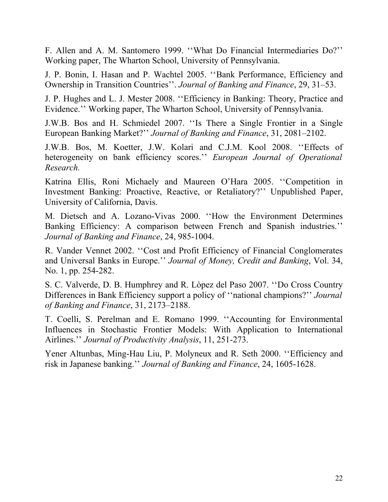F. Allen and A. M. Santomero 1999. ''What Do Financial Intermediaries Do?'' Working paper, The Wharton School, University of Pennsylvania.

J. P. Bonin, I. Hasan and P. Wachtel 2005. ''Bank Performance, Efficiency and Ownership in Transition Countries''. *Journal of Banking and Finance*, 29, 31–53.

J. P. Hughes and L. J. Mester 2008. ''Efficiency in Banking: Theory, Practice and Evidence.'' Working paper, The Wharton School, University of Pennsylvania.

J.W.B. Bos and H. Schmiedel 2007. ''Is There a Single Frontier in a Single European Banking Market?'' *Journal of Banking and Finance*, 31, 2081–2102.

J.W.B. Bos, M. Koetter, J.W. Kolari and C.J.M. Kool 2008. ''Effects of heterogeneity on bank efficiency scores.'' *European Journal of Operational Research.*

Katrina Ellis, Roni Michaely and Maureen O'Hara 2005. ''Competition in Investment Banking: Proactive, Reactive, or Retaliatory?'' Unpublished Paper, University of California, Davis.

M. Dietsch and A. Lozano-Vivas 2000. ''How the Environment Determines Banking Efficiency: A comparison between French and Spanish industries.'' *Journal of Banking and Finance*, 24, 985-1004.

R. Vander Vennet 2002. ''Cost and Profit Efficiency of Financial Conglomerates and Universal Banks in Europe.'' *Journal of Money, Credit and Banking*, Vol. 34, No. 1, pp. 254-282.

S. C. Valverde, D. B. Humphrey and R. Lòpez del Paso 2007. ''Do Cross Country Differences in Bank Efficiency support a policy of ''national champions?'' *Journal of Banking and Finance*, 31, 2173–2188.

T. Coelli, S. Perelman and E. Romano 1999. ''Accounting for Environmental Influences in Stochastic Frontier Models: With Application to International Airlines.'' *Journal of Productivity Analysis*, 11, 251-273.

Yener Altunbas, Ming-Hau Liu, P. Molyneux and R. Seth 2000. ''Efficiency and risk in Japanese banking.'' *Journal of Banking and Finance*, 24, 1605-1628.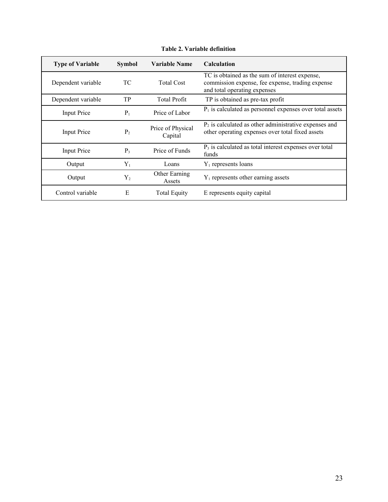| <b>Type of Variable</b> | <b>Symbol</b>  | Variable Name                | <b>Calculation</b>                                                                                                                 |
|-------------------------|----------------|------------------------------|------------------------------------------------------------------------------------------------------------------------------------|
| Dependent variable      | ТC             | <b>Total Cost</b>            | TC is obtained as the sum of interest expense,<br>commission expense, fee expense, trading expense<br>and total operating expenses |
| Dependent variable      | <b>TP</b>      | <b>Total Profit</b>          | TP is obtained as pre-tax profit                                                                                                   |
| Input Price             | $P_1$          | Price of Labor               | $P_1$ is calculated as personnel expenses over total assets                                                                        |
| Input Price             | P <sub>2</sub> | Price of Physical<br>Capital | $P_2$ is calculated as other administrative expenses and<br>other operating expenses over total fixed assets                       |
| Input Price             | $P_3$          | Price of Funds               | $P_3$ is calculated as total interest expenses over total<br>funds                                                                 |
| Output                  | $Y_1$          | Loans                        | $Y_1$ represents loans                                                                                                             |
| Output                  | $Y_{2}$        | Other Earning<br>Assets      | $Y_1$ represents other earning assets                                                                                              |
| Control variable        | Е              | <b>Total Equity</b>          | E represents equity capital                                                                                                        |

**Table 2. Variable definition**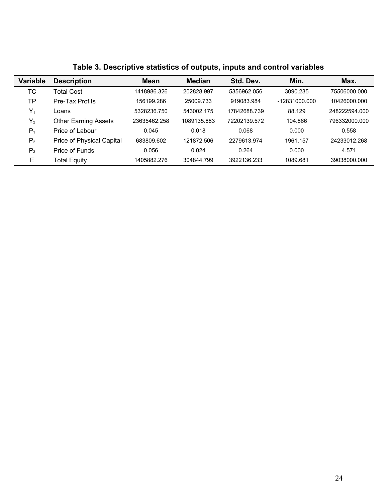| <b>Variable</b> | <b>Description</b>          | <b>Mean</b>  | <b>Median</b> | Std. Dev.    | Min.          | Max.          |
|-----------------|-----------------------------|--------------|---------------|--------------|---------------|---------------|
| ТC              | Total Cost                  | 1418986.326  | 202828.997    | 5356962.056  | 3090.235      | 75506000.000  |
| ТP              | Pre-Tax Profits             | 156199.286   | 25009.733     | 919083.984   | -12831000.000 | 10426000.000  |
| Y,              | ∟oans                       | 5328236.750  | 543002.175    | 17842688.739 | 88.129        | 248222594.000 |
| $Y_2$           | <b>Other Earning Assets</b> | 23635462.258 | 1089135.883   | 72202139.572 | 104.866       | 796332000.000 |
| $P_1$           | Price of Labour             | 0.045        | 0.018         | 0.068        | 0.000         | 0.558         |
| P <sub>2</sub>  | Price of Physical Capital   | 683809.602   | 121872.506    | 2279613.974  | 1961.157      | 24233012.268  |
| $P_3$           | Price of Funds              | 0.056        | 0.024         | 0.264        | 0.000         | 4.571         |
| Е               | Total Equity                | 1405882.276  | 304844.799    | 3922136.233  | 1089.681      | 39038000.000  |

|  |  |  |  | Table 3. Descriptive statistics of outputs, inputs and control variables |
|--|--|--|--|--------------------------------------------------------------------------|
|--|--|--|--|--------------------------------------------------------------------------|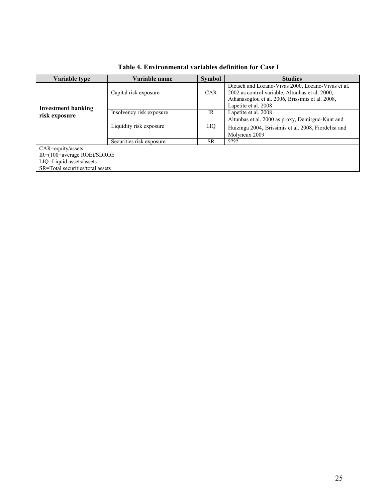| Variable type                    | Variable name            | <b>Symbol</b> | <b>Studies</b>                                                                                        |
|----------------------------------|--------------------------|---------------|-------------------------------------------------------------------------------------------------------|
|                                  | Capital risk exposure    | <b>CAR</b>    | Dietsch and Lozano-Vivas 2000, Lozano-Vivas et al.<br>2002 as control variable, Altunbas et al. 2000, |
| <b>Investment banking</b>        |                          |               | Athanasoglou et al. 2006, Brissimis et al. 2008,<br>Lapetite et al. 2008                              |
| risk exposure                    | Insolvency risk exposure | IR            | Lapetite et al. 2008                                                                                  |
|                                  |                          |               | Altunbas et al. 2000 as proxy, Demirguc-Kunt and                                                      |
|                                  | Liquidity risk exposure  | LIQ           | Huizinga 2004, Brissimis et al. 2008, Fiordelisi and                                                  |
|                                  |                          |               | Molyneux 2009                                                                                         |
|                                  | Securities risk exposure | <b>SR</b>     | ????                                                                                                  |
| $CAR =$ equity/assets            |                          |               |                                                                                                       |
| $IR = (100 + average ROE)/SDROE$ |                          |               |                                                                                                       |
| LIQ=Liquid assets/assets         |                          |               |                                                                                                       |
| SR=Total securities/total assets |                          |               |                                                                                                       |

**Table 4. Environmental variables definition for Case I**